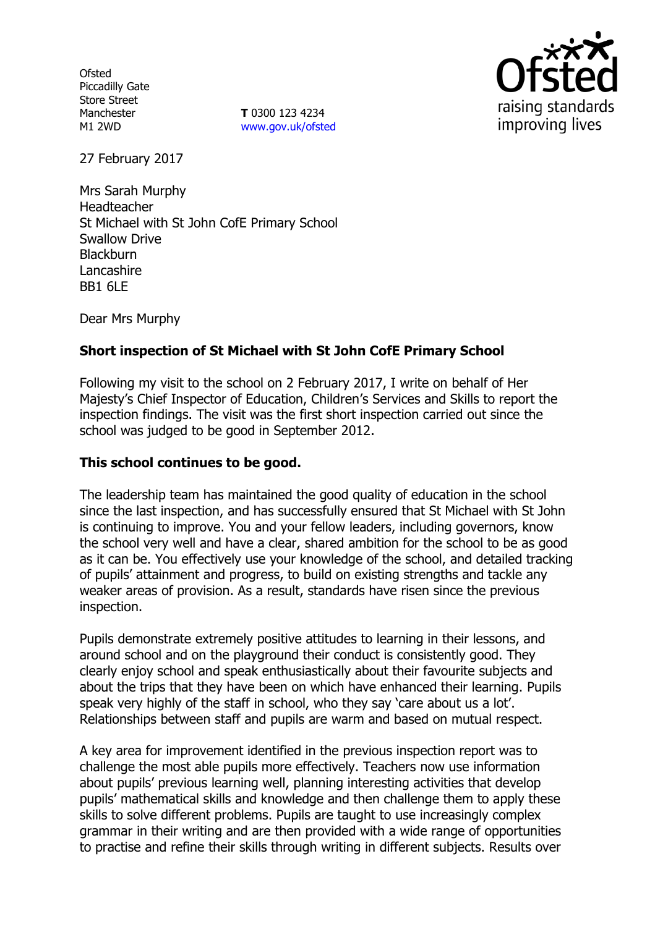**Ofsted** Piccadilly Gate Store Street Manchester M1 2WD

**T** 0300 123 4234 www.gov.uk/ofsted



27 February 2017

Mrs Sarah Murphy Headteacher St Michael with St John CofE Primary School Swallow Drive **Blackburn** Lancashire BB1 6LE

Dear Mrs Murphy

## **Short inspection of St Michael with St John CofE Primary School**

Following my visit to the school on 2 February 2017, I write on behalf of Her Majesty's Chief Inspector of Education, Children's Services and Skills to report the inspection findings. The visit was the first short inspection carried out since the school was judged to be good in September 2012.

### **This school continues to be good.**

The leadership team has maintained the good quality of education in the school since the last inspection, and has successfully ensured that St Michael with St John is continuing to improve. You and your fellow leaders, including governors, know the school very well and have a clear, shared ambition for the school to be as good as it can be. You effectively use your knowledge of the school, and detailed tracking of pupils' attainment and progress, to build on existing strengths and tackle any weaker areas of provision. As a result, standards have risen since the previous inspection.

Pupils demonstrate extremely positive attitudes to learning in their lessons, and around school and on the playground their conduct is consistently good. They clearly enjoy school and speak enthusiastically about their favourite subjects and about the trips that they have been on which have enhanced their learning. Pupils speak very highly of the staff in school, who they say 'care about us a lot'. Relationships between staff and pupils are warm and based on mutual respect.

A key area for improvement identified in the previous inspection report was to challenge the most able pupils more effectively. Teachers now use information about pupils' previous learning well, planning interesting activities that develop pupils' mathematical skills and knowledge and then challenge them to apply these skills to solve different problems. Pupils are taught to use increasingly complex grammar in their writing and are then provided with a wide range of opportunities to practise and refine their skills through writing in different subjects. Results over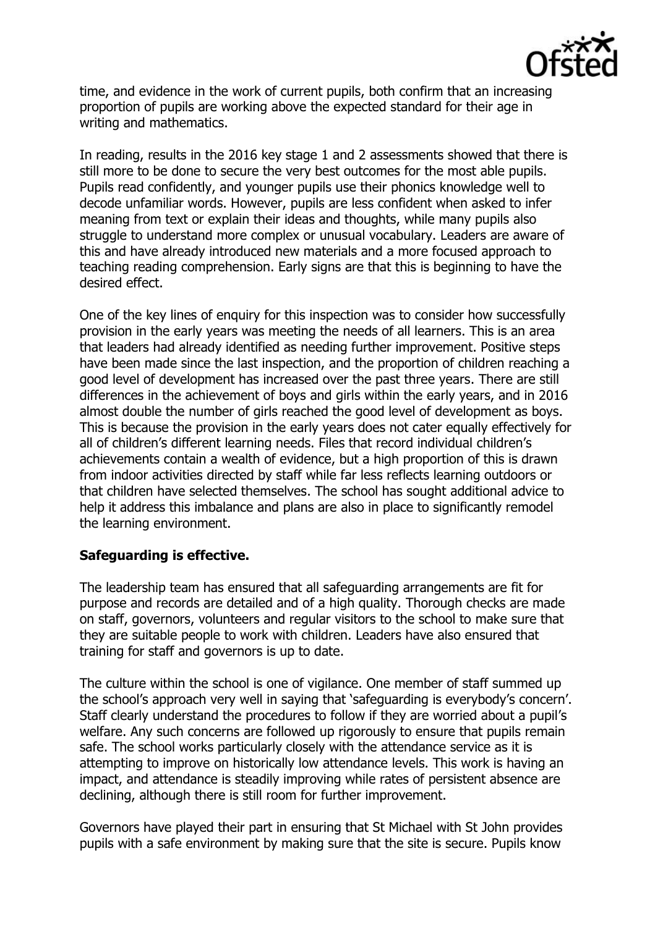

time, and evidence in the work of current pupils, both confirm that an increasing proportion of pupils are working above the expected standard for their age in writing and mathematics.

In reading, results in the 2016 key stage 1 and 2 assessments showed that there is still more to be done to secure the very best outcomes for the most able pupils. Pupils read confidently, and younger pupils use their phonics knowledge well to decode unfamiliar words. However, pupils are less confident when asked to infer meaning from text or explain their ideas and thoughts, while many pupils also struggle to understand more complex or unusual vocabulary. Leaders are aware of this and have already introduced new materials and a more focused approach to teaching reading comprehension. Early signs are that this is beginning to have the desired effect.

One of the key lines of enquiry for this inspection was to consider how successfully provision in the early years was meeting the needs of all learners. This is an area that leaders had already identified as needing further improvement. Positive steps have been made since the last inspection, and the proportion of children reaching a good level of development has increased over the past three years. There are still differences in the achievement of boys and girls within the early years, and in 2016 almost double the number of girls reached the good level of development as boys. This is because the provision in the early years does not cater equally effectively for all of children's different learning needs. Files that record individual children's achievements contain a wealth of evidence, but a high proportion of this is drawn from indoor activities directed by staff while far less reflects learning outdoors or that children have selected themselves. The school has sought additional advice to help it address this imbalance and plans are also in place to significantly remodel the learning environment.

### **Safeguarding is effective.**

The leadership team has ensured that all safeguarding arrangements are fit for purpose and records are detailed and of a high quality. Thorough checks are made on staff, governors, volunteers and regular visitors to the school to make sure that they are suitable people to work with children. Leaders have also ensured that training for staff and governors is up to date.

The culture within the school is one of vigilance. One member of staff summed up the school's approach very well in saying that 'safeguarding is everybody's concern'. Staff clearly understand the procedures to follow if they are worried about a pupil's welfare. Any such concerns are followed up rigorously to ensure that pupils remain safe. The school works particularly closely with the attendance service as it is attempting to improve on historically low attendance levels. This work is having an impact, and attendance is steadily improving while rates of persistent absence are declining, although there is still room for further improvement.

Governors have played their part in ensuring that St Michael with St John provides pupils with a safe environment by making sure that the site is secure. Pupils know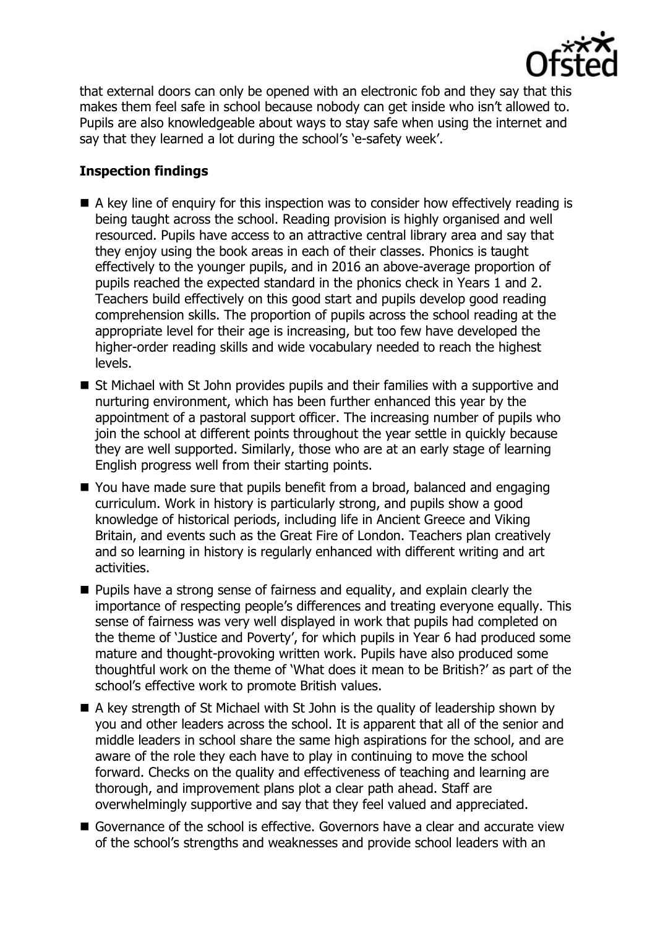

that external doors can only be opened with an electronic fob and they say that this makes them feel safe in school because nobody can get inside who isn't allowed to. Pupils are also knowledgeable about ways to stay safe when using the internet and say that they learned a lot during the school's 'e-safety week'.

# **Inspection findings**

- A key line of enguiry for this inspection was to consider how effectively reading is being taught across the school. Reading provision is highly organised and well resourced. Pupils have access to an attractive central library area and say that they enjoy using the book areas in each of their classes. Phonics is taught effectively to the younger pupils, and in 2016 an above-average proportion of pupils reached the expected standard in the phonics check in Years 1 and 2. Teachers build effectively on this good start and pupils develop good reading comprehension skills. The proportion of pupils across the school reading at the appropriate level for their age is increasing, but too few have developed the higher-order reading skills and wide vocabulary needed to reach the highest levels.
- $\blacksquare$  St Michael with St John provides pupils and their families with a supportive and nurturing environment, which has been further enhanced this year by the appointment of a pastoral support officer. The increasing number of pupils who join the school at different points throughout the year settle in quickly because they are well supported. Similarly, those who are at an early stage of learning English progress well from their starting points.
- You have made sure that pupils benefit from a broad, balanced and engaging curriculum. Work in history is particularly strong, and pupils show a good knowledge of historical periods, including life in Ancient Greece and Viking Britain, and events such as the Great Fire of London. Teachers plan creatively and so learning in history is regularly enhanced with different writing and art activities.
- **Pupils have a strong sense of fairness and equality, and explain clearly the** importance of respecting people's differences and treating everyone equally. This sense of fairness was very well displayed in work that pupils had completed on the theme of 'Justice and Poverty', for which pupils in Year 6 had produced some mature and thought-provoking written work. Pupils have also produced some thoughtful work on the theme of 'What does it mean to be British?' as part of the school's effective work to promote British values.
- A key strength of St Michael with St John is the quality of leadership shown by you and other leaders across the school. It is apparent that all of the senior and middle leaders in school share the same high aspirations for the school, and are aware of the role they each have to play in continuing to move the school forward. Checks on the quality and effectiveness of teaching and learning are thorough, and improvement plans plot a clear path ahead. Staff are overwhelmingly supportive and say that they feel valued and appreciated.
- Governance of the school is effective. Governors have a clear and accurate view of the school's strengths and weaknesses and provide school leaders with an